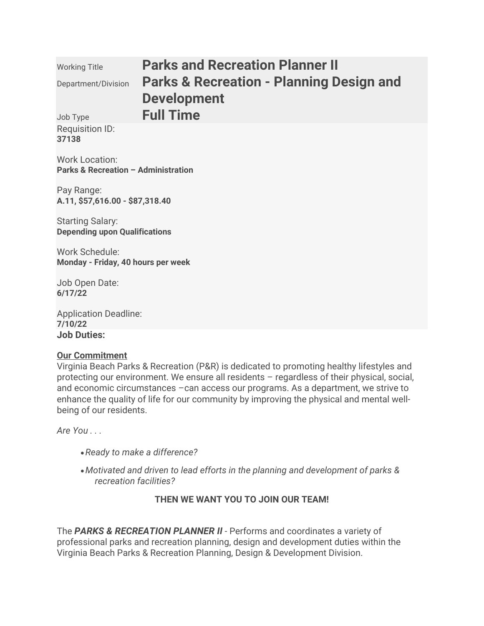| <b>Working Title</b>                                                    | <b>Parks and Recreation Planner II</b>              |
|-------------------------------------------------------------------------|-----------------------------------------------------|
| Department/Division                                                     | <b>Parks &amp; Recreation - Planning Design and</b> |
|                                                                         | <b>Development</b>                                  |
| Job Type                                                                | <b>Full Time</b>                                    |
| Requisition ID:<br>37138                                                |                                                     |
| <b>Work Location:</b><br><b>Parks &amp; Recreation - Administration</b> |                                                     |
| Pay Range:<br>A.11, \$57,616.00 - \$87,318.40                           |                                                     |

Starting Salary: **Depending upon Qualifications** 

Work Schedule: **Monday - Friday, 40 hours per week** 

Job Open Date: **6/17/22** 

Application Deadline: **7/10/22 Job Duties:**

### **Our Commitment**

Virginia Beach Parks & Recreation (P&R) is dedicated to promoting healthy lifestyles and protecting our environment. We ensure all residents – regardless of their physical, social, and economic circumstances –can access our programs. As a department, we strive to enhance the quality of life for our community by improving the physical and mental wellbeing of our residents.

*Are You . . .*

- •*Ready to make a difference?*
- •*Motivated and driven to lead efforts in the planning and development of parks & recreation facilities?*

# **THEN WE WANT YOU TO JOIN OUR TEAM!**

The *PARKS & RECREATION PLANNER II* - Performs and coordinates a variety of professional parks and recreation planning, design and development duties within the Virginia Beach Parks & Recreation Planning, Design & Development Division.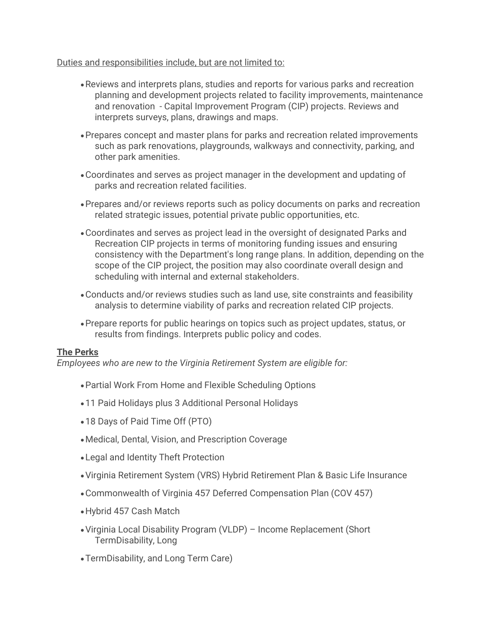### Duties and responsibilities include, but are not limited to:

- •Reviews and interprets plans, studies and reports for various parks and recreation planning and development projects related to facility improvements, maintenance and renovation - Capital Improvement Program (CIP) projects. Reviews and interprets surveys, plans, drawings and maps.
- •Prepares concept and master plans for parks and recreation related improvements such as park renovations, playgrounds, walkways and connectivity, parking, and other park amenities.
- •Coordinates and serves as project manager in the development and updating of parks and recreation related facilities.
- •Prepares and/or reviews reports such as policy documents on parks and recreation related strategic issues, potential private public opportunities, etc.
- •Coordinates and serves as project lead in the oversight of designated Parks and Recreation CIP projects in terms of monitoring funding issues and ensuring consistency with the Department's long range plans. In addition, depending on the scope of the CIP project, the position may also coordinate overall design and scheduling with internal and external stakeholders.
- •Conducts and/or reviews studies such as land use, site constraints and feasibility analysis to determine viability of parks and recreation related CIP projects.
- •Prepare reports for public hearings on topics such as project updates, status, or results from findings. Interprets public policy and codes.

# **The Perks**

*Employees who are new to the Virginia Retirement System are eligible for:*

- •Partial Work From Home and Flexible Scheduling Options
- •11 Paid Holidays plus 3 Additional Personal Holidays
- •18 Days of Paid Time Off (PTO)
- •Medical, Dental, Vision, and Prescription Coverage
- •Legal and Identity Theft Protection
- •Virginia Retirement System (VRS) Hybrid Retirement Plan & Basic Life Insurance
- •Commonwealth of Virginia 457 Deferred Compensation Plan (COV 457)
- •Hybrid 457 Cash Match
- •Virginia Local Disability Program (VLDP) Income Replacement (Short TermDisability, Long
- •TermDisability, and Long Term Care)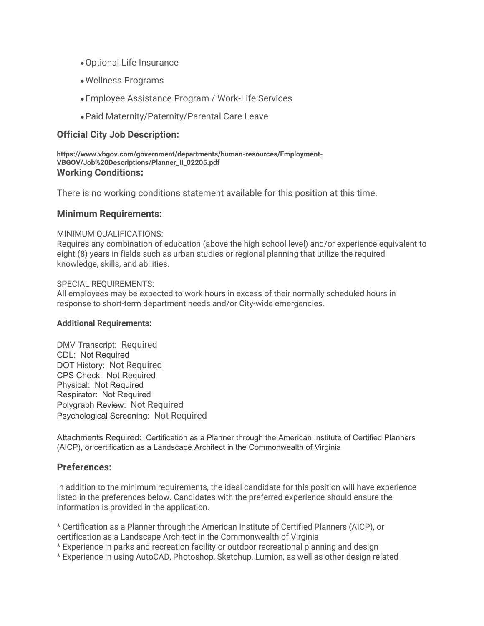- •Optional Life Insurance
- •Wellness Programs
- •Employee Assistance Program / Work-Life Services
- •Paid Maternity/Paternity/Parental Care Leave

### **Official City Job Description:**

**https://www.vbgov.com/government/departments/human-resources/Employment-VBGOV/Job%20Descriptions/Planner\_II\_02205.pdf Working Conditions:**

There is no working conditions statement available for this position at this time.

### **Minimum Requirements:**

#### MINIMUM QUALIFICATIONS:

Requires any combination of education (above the high school level) and/or experience equivalent to eight (8) years in fields such as urban studies or regional planning that utilize the required knowledge, skills, and abilities.

#### SPECIAL REQUIREMENTS:

All employees may be expected to work hours in excess of their normally scheduled hours in response to short-term department needs and/or City-wide emergencies.

#### **Additional Requirements:**

DMV Transcript: Required CDL: Not Required DOT History: Not Required CPS Check: Not Required Physical: Not Required Respirator: Not Required Polygraph Review: Not Required Psychological Screening: Not Required

Attachments Required: Certification as a Planner through the American Institute of Certified Planners (AICP), or certification as a Landscape Architect in the Commonwealth of Virginia

### **Preferences:**

In addition to the minimum requirements, the ideal candidate for this position will have experience listed in the preferences below. Candidates with the preferred experience should ensure the information is provided in the application.

\* Certification as a Planner through the American Institute of Certified Planners (AICP), or certification as a Landscape Architect in the Commonwealth of Virginia

\* Experience in parks and recreation facility or outdoor recreational planning and design

\* Experience in using AutoCAD, Photoshop, Sketchup, Lumion, as well as other design related